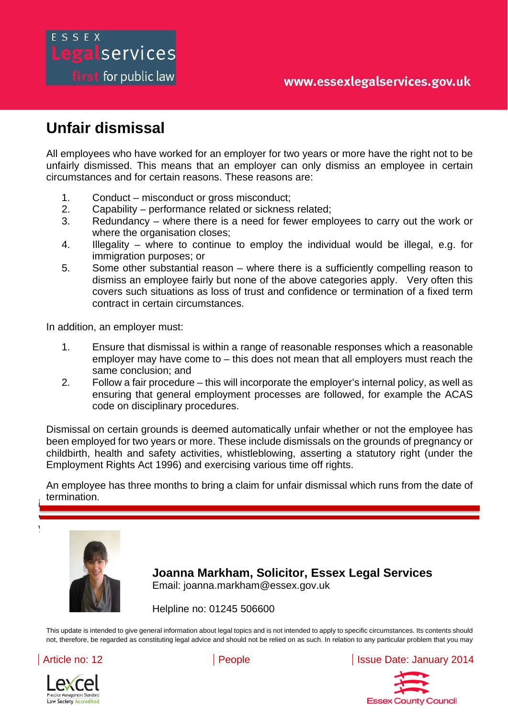# **Unfair dismissal**

Legalservices

**first** for public law

ESSEX

All employees who have worked for an employer for two years or more have the right not to be unfairly dismissed. This means that an employer can only dismiss an employee in certain circumstances and for certain reasons. These reasons are:

- 1. Conduct misconduct or gross misconduct;
- 2. Capability performance related or sickness related;
- 3. Redundancy where there is a need for fewer employees to carry out the work or where the organisation closes;
- 4. Illegality where to continue to employ the individual would be illegal, e.g. for immigration purposes; or
- 5. Some other substantial reason where there is a sufficiently compelling reason to dismiss an employee fairly but none of the above categories apply. Very often this covers such situations as loss of trust and confidence or termination of a fixed term contract in certain circumstances.

In addition, an employer must:

- 1. Ensure that dismissal is within a range of reasonable responses which a reasonable employer may have come to – this does not mean that all employers must reach the same conclusion; and
- 2. Follow a fair procedure this will incorporate the employer's internal policy, as well as ensuring that general employment processes are followed, for example the ACAS code on disciplinary procedures.

Dismissal on certain grounds is deemed automatically unfair whether or not the employee has been employed for two years or more. These include dismissals on the grounds of pregnancy or childbirth, health and safety activities, whistleblowing, asserting a statutory right (under the Employment Rights Act 1996) and exercising various time off rights.

An employee has three months to bring a claim for unfair dismissal which runs from the date of<br>termination is not intended to apply to apply to specific circumstances. Its contents showledge as  $\mathbf{r}_i$ termination.

constituting legal advice and should not be relied on as such. In relation to any particular problem that



**Joanna Markham, Solicitor, Essex Legal Services**  Email: joanna.markham@essex.gov.uk

Helpline no: 01245 506600

This update is intended to give general information about legal topics and is not intended to apply to specific circumstances. Its contents should not, therefore, be regarded as constituting legal advice and should not be relied on as such. In relation to any particular problem that you may



Law Society Accrediter

Article no: 12 **People** Intervention Contract People Intervention Contract People Intervention Contract People

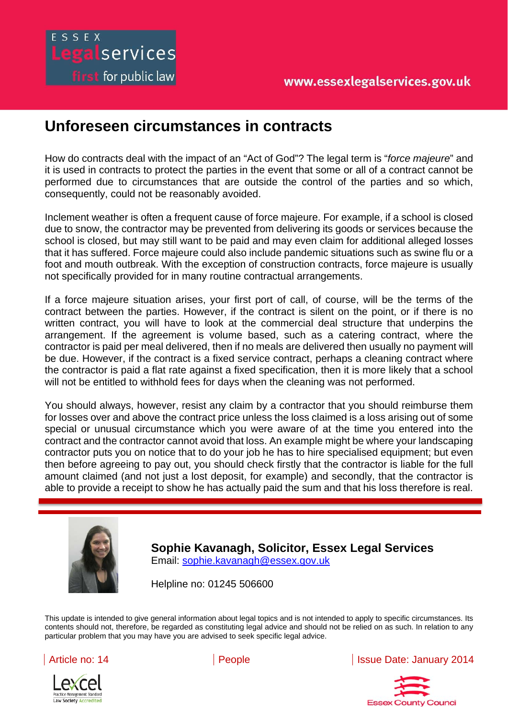# **Unforeseen circumstances in contracts**

ESSEX

Legalservices

**first** for public law

How do contracts deal with the impact of an "Act of God"? The legal term is "*force majeure*" and it is used in contracts to protect the parties in the event that some or all of a contract cannot be performed due to circumstances that are outside the control of the parties and so which, consequently, could not be reasonably avoided.

Inclement weather is often a frequent cause of force majeure. For example, if a school is closed due to snow, the contractor may be prevented from delivering its goods or services because the school is closed, but may still want to be paid and may even claim for additional alleged losses that it has suffered. Force majeure could also include pandemic situations such as swine flu or a foot and mouth outbreak. With the exception of construction contracts, force majeure is usually not specifically provided for in many routine contractual arrangements.

If a force majeure situation arises, your first port of call, of course, will be the terms of the contract between the parties. However, if the contract is silent on the point, or if there is no written contract, you will have to look at the commercial deal structure that underpins the arrangement. If the agreement is volume based, such as a catering contract, where the contractor is paid per meal delivered, then if no meals are delivered then usually no payment will be due. However, if the contract is a fixed service contract, perhaps a cleaning contract where the contractor is paid a flat rate against a fixed specification, then it is more likely that a school will not be entitled to withhold fees for days when the cleaning was not performed.

able to provide a receipt to show he has actually paid the sum and that his loss therefore is real. You should always, however, resist any claim by a contractor that you should reimburse them for losses over and above the contract price unless the loss claimed is a loss arising out of some special or unusual circumstance which you were aware of at the time you entered into the contract and the contractor cannot avoid that loss. An example might be where your landscaping contractor puts you on notice that to do your job he has to hire specialised equipment; but even then before agreeing to pay out, you should check firstly that the contractor is liable for the full amount claimed (and not just a lost deposit, for example) and secondly, that the contractor is

is not intended to apply to specific circumstances. Its contents should not, therefore, be regarded as



**Sophie Kavanagh, Solicitor, Essex Legal Services**  Email: sophie.kavanagh@essex.gov.uk

Helpline no: 01245 506600

This update is intended to give general information about legal topics and is not intended to apply to specific circumstances. Its contents should not, therefore, be regarded as constituting legal advice and should not be relied on as such. In relation to any particular problem that you may have you are advised to seek specific legal advice.



Article no: 14 **People Issue Date: January 2014** 

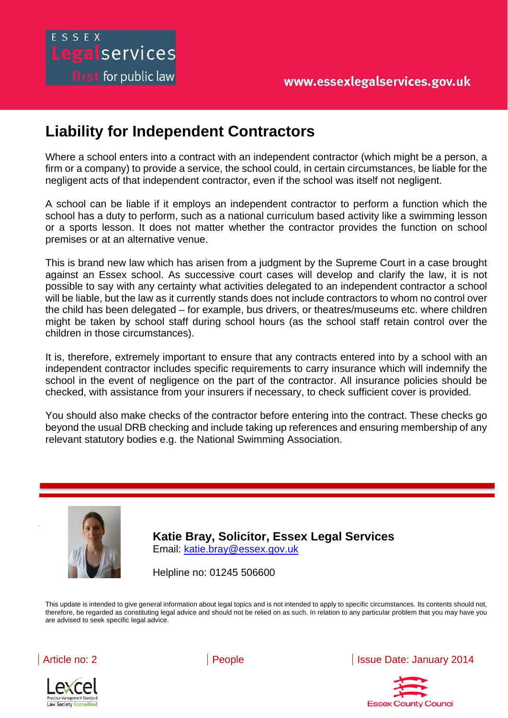## ESSEX Legalservices first for public law

## **Liability for Independent Contractors**

Where a school enters into a contract with an independent contractor (which might be a person, a firm or a company) to provide a service, the school could, in certain circumstances, be liable for the negligent acts of that independent contractor, even if the school was itself not negligent.

A school can be liable if it employs an independent contractor to perform a function which the school has a duty to perform, such as a national curriculum based activity like a swimming lesson or a sports lesson. It does not matter whether the contractor provides the function on school premises or at an alternative venue.

This is brand new law which has arisen from a judgment by the Supreme Court in a case brought against an Essex school. As successive court cases will develop and clarify the law, it is not possible to say with any certainty what activities delegated to an independent contractor a school will be liable, but the law as it currently stands does not include contractors to whom no control over the child has been delegated – for example, bus drivers, or theatres/museums etc. where children might be taken by school staff during school hours (as the school staff retain control over the children in those circumstances).

It is, therefore, extremely important to ensure that any contracts entered into by a school with an independent contractor includes specific requirements to carry insurance which will indemnify the school in the event of negligence on the part of the contractor. All insurance policies should be checked, with assistance from your insurers if necessary, to check sufficient cover is provided.

You should also make checks of the contractor before entering into the contract. These checks go beyond the usual DRB checking and include taking up references and ensuring membership of any relevant statutory bodies e.g. the National Swimming Association.



**Katie Bray, Solicitor, Essex Legal Services**  Email: katie.bray@essex.gov.uk

Helpline no: 01245 506600

intended to give general information about legal topics and

This update is intended to give general information about legal topics and is not intended to apply to specific circumstances. Its contents should not, therefore, be regarded as constituting legal advice and should not be relied on as such. In relation to any particular problem that you may have you are advised to seek specific legal advice.



Law Society Accredited

Article no: 2 **People** Issue Date: January 2014

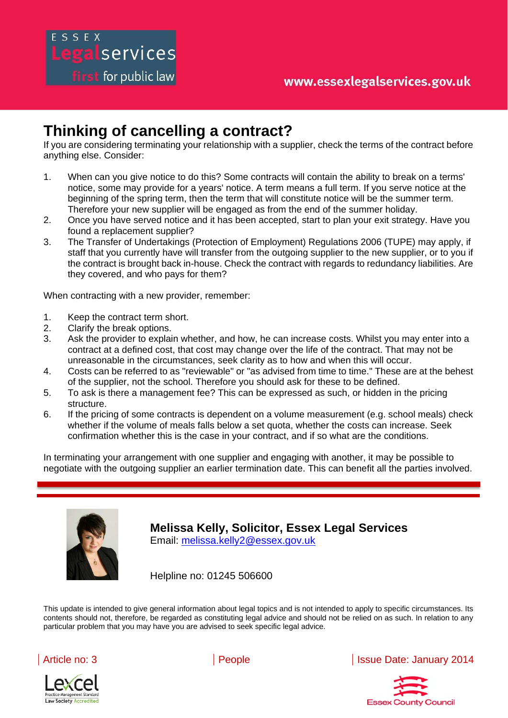## **Thinking of cancelling a contract?**

If you are considering terminating your relationship with a supplier, check the terms of the contract before anything else. Consider:

- 1. When can you give notice to do this? Some contracts will contain the ability to break on a terms' notice, some may provide for a years' notice. A term means a full term. If you serve notice at the beginning of the spring term, then the term that will constitute notice will be the summer term. Therefore your new supplier will be engaged as from the end of the summer holiday.
- 2. Once you have served notice and it has been accepted, start to plan your exit strategy. Have you found a replacement supplier?
- 3. The Transfer of Undertakings (Protection of Employment) Regulations 2006 (TUPE) may apply, if staff that you currently have will transfer from the outgoing supplier to the new supplier, or to you if the contract is brought back in-house. Check the contract with regards to redundancy liabilities. Are they covered, and who pays for them?

When contracting with a new provider, remember:

intended to give general information about legal topics and

1. Keep the contract term short.

egalservices

first for public law

- 2. Clarify the break options.
- 3. Ask the provider to explain whether, and how, he can increase costs. Whilst you may enter into a contract at a defined cost, that cost may change over the life of the contract. That may not be unreasonable in the circumstances, seek clarity as to how and when this will occur.
- 4. Costs can be referred to as "reviewable" or "as advised from time to time." These are at the behest of the supplier, not the school. Therefore you should ask for these to be defined.
- 5. To ask is there a management fee? This can be expressed as such, or hidden in the pricing structure.
- 6. If the pricing of some contracts is dependent on a volume measurement (e.g. school meals) check whether if the volume of meals falls below a set quota, whether the costs can increase. Seek confirmation whether this is the case in your contract, and if so what are the conditions.

In terminating your arrangement with one supplier and engaging with another, it may be possible to negotiate with the outgoing supplier an earlier termination date. This can benefit all the parties involved.



**TAVIS Melissa Kelly, Solicitor, Essex Legal Services** Email: melissa.kelly2@essex.gov.uk

Helpline no: 01245 506600

This update is intended to give general information about legal topics and is not intended to apply to specific circumstances. Its contents should not, therefore, be regarded as constituting legal advice and should not be relied on as such. In relation to any particular problem that you may have you are advised to seek specific legal advice.



actice Management Standard **Law Society Accredite** 

Article no: 3 **People** Intervention Contract Languary 2014

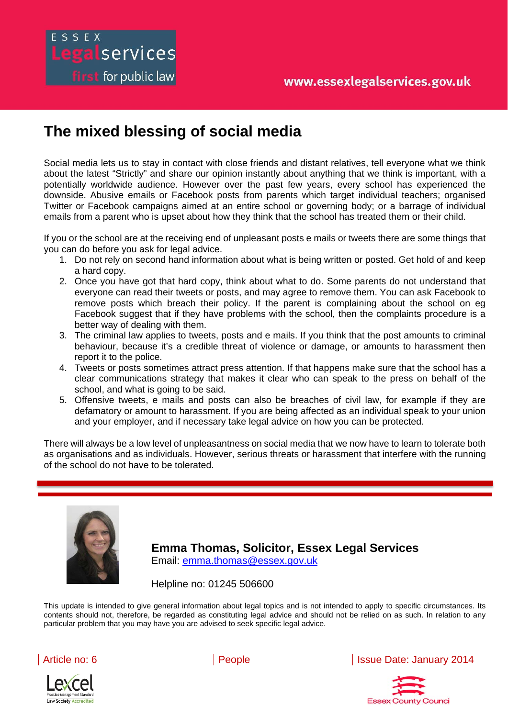## egalservices first for public law

## **The mixed blessing of social media**

Social media lets us to stay in contact with close friends and distant relatives, tell everyone what we think about the latest "Strictly" and share our opinion instantly about anything that we think is important, with a potentially worldwide audience. However over the past few years, every school has experienced the downside. Abusive emails or Facebook posts from parents which target individual teachers; organised Twitter or Facebook campaigns aimed at an entire school or governing body; or a barrage of individual emails from a parent who is upset about how they think that the school has treated them or their child.

If you or the school are at the receiving end of unpleasant posts e mails or tweets there are some things that you can do before you ask for legal advice.

- 1. Do not rely on second hand information about what is being written or posted. Get hold of and keep a hard copy.
- 2. Once you have got that hard copy, think about what to do. Some parents do not understand that everyone can read their tweets or posts, and may agree to remove them. You can ask Facebook to remove posts which breach their policy. If the parent is complaining about the school on eg Facebook suggest that if they have problems with the school, then the complaints procedure is a better way of dealing with them.
- 3. The criminal law applies to tweets, posts and e mails. If you think that the post amounts to criminal behaviour, because it's a credible threat of violence or damage, or amounts to harassment then report it to the police.
- 4. Tweets or posts sometimes attract press attention. If that happens make sure that the school has a clear communications strategy that makes it clear who can speak to the press on behalf of the school, and what is going to be said.
- 5. Offensive tweets, e mails and posts can also be breaches of civil law, for example if they are defamatory or amount to harassment. If you are being affected as an individual speak to your union and your employer, and if necessary take legal advice on how you can be protected.

There will always be a low level of unpleasantness on social media that we now have to learn to tolerate both as organisations and as individuals. However, serious threats or harassment that interfere with the running of the school do not have to be tolerated.



**Emma Thomas, Solicitor, Essex Legal Services**  Email: emma.thomas@essex.gov.uk

Helpline no: 01245 506600

intended to give general information about legal topics and

This update is intended to give general information about legal topics and is not intended to apply to specific circumstances. Its contents should not, therefore, be regarded as constituting legal advice and should not be relied on as such. In relation to any particular problem that you may have you are advised to seek specific legal advice.





Article no: 6 **People I** People **Issue Date: January 2014**